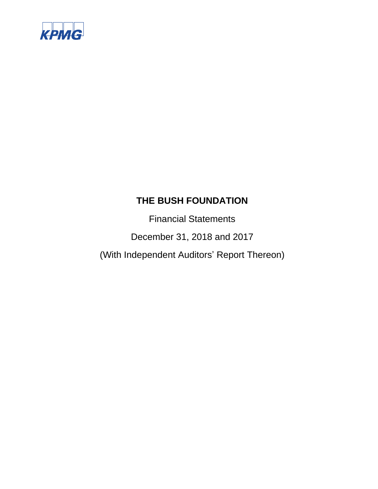

Financial Statements

December 31, 2018 and 2017

(With Independent Auditors' Report Thereon)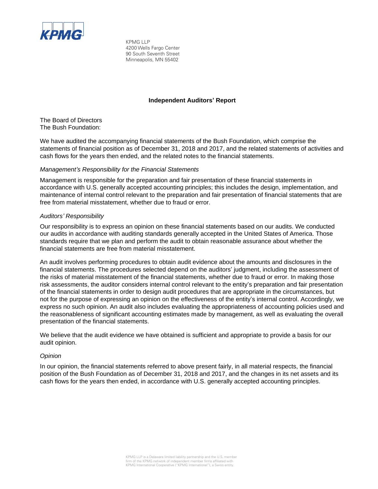

KPMG LLP 4200 Wells Fargo Center 90 South Seventh Street Minneapolis, MN 55402

#### **Independent Auditors' Report**

The Board of Directors The Bush Foundation:

We have audited the accompanying financial statements of the Bush Foundation, which comprise the statements of financial position as of December 31, 2018 and 2017, and the related statements of activities and cash flows for the years then ended, and the related notes to the financial statements.

#### *Management's Responsibility for the Financial Statements*

Management is responsible for the preparation and fair presentation of these financial statements in accordance with U.S. generally accepted accounting principles; this includes the design, implementation, and maintenance of internal control relevant to the preparation and fair presentation of financial statements that are free from material misstatement, whether due to fraud or error.

#### *Auditors' Responsibility*

Our responsibility is to express an opinion on these financial statements based on our audits. We conducted our audits in accordance with auditing standards generally accepted in the United States of America. Those standards require that we plan and perform the audit to obtain reasonable assurance about whether the financial statements are free from material misstatement.

An audit involves performing procedures to obtain audit evidence about the amounts and disclosures in the financial statements. The procedures selected depend on the auditors' judgment, including the assessment of the risks of material misstatement of the financial statements, whether due to fraud or error. In making those risk assessments, the auditor considers internal control relevant to the entity's preparation and fair presentation of the financial statements in order to design audit procedures that are appropriate in the circumstances, but not for the purpose of expressing an opinion on the effectiveness of the entity's internal control. Accordingly, we express no such opinion. An audit also includes evaluating the appropriateness of accounting policies used and the reasonableness of significant accounting estimates made by management, as well as evaluating the overall presentation of the financial statements.

We believe that the audit evidence we have obtained is sufficient and appropriate to provide a basis for our audit opinion.

#### *Opinion*

In our opinion, the financial statements referred to above present fairly, in all material respects, the financial position of the Bush Foundation as of December 31, 2018 and 2017, and the changes in its net assets and its cash flows for the years then ended, in accordance with U.S. generally accepted accounting principles.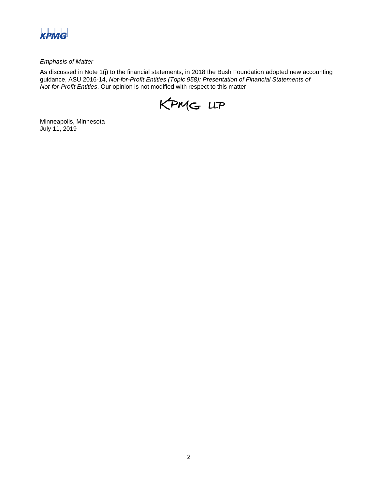

#### *Emphasis of Matter*

As discussed in Note 1(j) to the financial statements, in 2018 the Bush Foundation adopted new accounting guidance, ASU 2016-14, *Not-for-Profit Entities (Topic 958): Presentation of Financial Statements of Not-for-Profit Entities*. Our opinion is not modified with respect to this matter.



Minneapolis, Minnesota July 11, 2019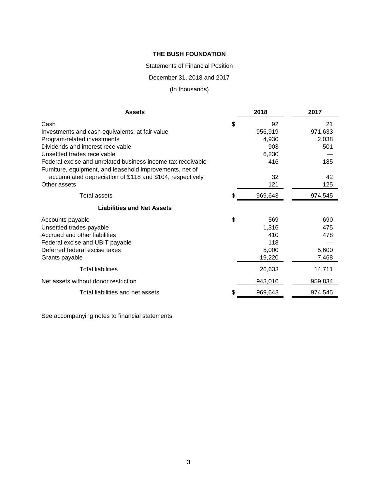Statements of Financial Position

December 31, 2018 and 2017

# (In thousands)

| <b>Assets</b>                                               | 2018          | 2017    |
|-------------------------------------------------------------|---------------|---------|
| Cash                                                        | \$<br>92      | 21      |
| Investments and cash equivalents, at fair value             | 956,919       | 971,633 |
| Program-related investments                                 | 4,930         | 2,038   |
| Dividends and interest receivable                           | 903           | 501     |
| Unsettled trades receivable                                 | 6,230         |         |
| Federal excise and unrelated business income tax receivable | 416           | 185     |
| Furniture, equipment, and leasehold improvements, net of    |               |         |
| accumulated depreciation of \$118 and \$104, respectively   | 32            | 42      |
| Other assets                                                | 121           | 125     |
| <b>Total assets</b>                                         | \$<br>969,643 | 974,545 |
| <b>Liabilities and Net Assets</b>                           |               |         |
| Accounts payable                                            | \$<br>569     | 690     |
| Unsettled trades payable                                    | 1,316         | 475     |
| Accrued and other liabilities                               | 410           | 478     |
| Federal excise and UBIT payable                             | 118           |         |
| Deferred federal excise taxes                               | 5,000         | 5,600   |
| Grants payable                                              | 19,220        | 7,468   |
| <b>Total liabilities</b>                                    | 26,633        | 14,711  |
| Net assets without donor restriction                        | 943,010       | 959,834 |
| Total liabilities and net assets                            | \$<br>969,643 | 974,545 |

See accompanying notes to financial statements.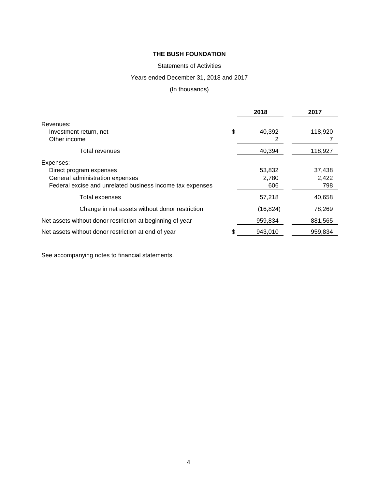# Statements of Activities

# Years ended December 31, 2018 and 2017

# (In thousands)

|                                                           | 2018          | 2017    |
|-----------------------------------------------------------|---------------|---------|
| Revenues:                                                 |               |         |
| Investment return, net                                    | \$<br>40,392  | 118,920 |
| Other income                                              | 2             |         |
| <b>Total revenues</b>                                     | 40,394        | 118,927 |
| Expenses:                                                 |               |         |
| Direct program expenses                                   | 53,832        | 37,438  |
| General administration expenses                           | 2,780         | 2,422   |
| Federal excise and unrelated business income tax expenses | 606           | 798     |
| <b>Total expenses</b>                                     | 57,218        | 40,658  |
| Change in net assets without donor restriction            | (16, 824)     | 78,269  |
| Net assets without donor restriction at beginning of year | 959,834       | 881,565 |
| Net assets without donor restriction at end of year       | \$<br>943,010 | 959,834 |

See accompanying notes to financial statements.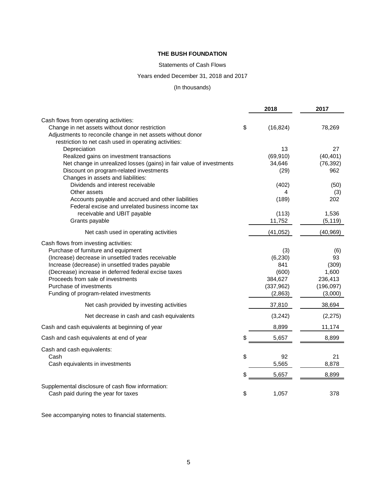#### Statements of Cash Flows

# Years ended December 31, 2018 and 2017

# (In thousands)

|                                                                                                        | 2018            | 2017       |
|--------------------------------------------------------------------------------------------------------|-----------------|------------|
| Cash flows from operating activities:                                                                  |                 |            |
| Change in net assets without donor restriction                                                         | \$<br>(16, 824) | 78,269     |
| Adjustments to reconcile change in net assets without donor                                            |                 |            |
| restriction to net cash used in operating activities:                                                  |                 |            |
| Depreciation                                                                                           | 13              | 27         |
| Realized gains on investment transactions                                                              | (69, 910)       | (40, 401)  |
| Net change in unrealized losses (gains) in fair value of investments                                   | 34,646          | (76, 392)  |
| Discount on program-related investments                                                                | (29)            | 962        |
| Changes in assets and liabilities:                                                                     |                 |            |
| Dividends and interest receivable                                                                      | (402)           | (50)       |
| Other assets                                                                                           | 4<br>(189)      | (3)<br>202 |
| Accounts payable and accrued and other liabilities<br>Federal excise and unrelated business income tax |                 |            |
| receivable and UBIT payable                                                                            | (113)           | 1,536      |
| Grants payable                                                                                         | 11,752          | (5, 119)   |
|                                                                                                        |                 |            |
| Net cash used in operating activities                                                                  | (41, 052)       | (40, 969)  |
| Cash flows from investing activities:                                                                  |                 |            |
| Purchase of furniture and equipment                                                                    | (3)             | (6)        |
| (Increase) decrease in unsettled trades receivable                                                     | (6, 230)        | 93         |
| Increase (decrease) in unsettled trades payable                                                        | 841             | (309)      |
| (Decrease) increase in deferred federal excise taxes                                                   | (600)           | 1,600      |
| Proceeds from sale of investments                                                                      | 384,627         | 236,413    |
| Purchase of investments                                                                                | (337, 962)      | (196, 097) |
| Funding of program-related investments                                                                 | (2,863)         | (3,000)    |
| Net cash provided by investing activities                                                              | 37,810          | 38,694     |
| Net decrease in cash and cash equivalents                                                              | (3, 242)        | (2, 275)   |
| Cash and cash equivalents at beginning of year                                                         | 8,899           | 11,174     |
| Cash and cash equivalents at end of year                                                               | \$<br>5,657     | 8,899      |
| Cash and cash equivalents:                                                                             |                 |            |
| Cash                                                                                                   | \$<br>92        | 21         |
| Cash equivalents in investments                                                                        | 5,565           | 8,878      |
|                                                                                                        | \$<br>5,657     | 8,899      |
| Supplemental disclosure of cash flow information:                                                      |                 |            |
| Cash paid during the year for taxes                                                                    | \$<br>1,057     | 378        |

See accompanying notes to financial statements.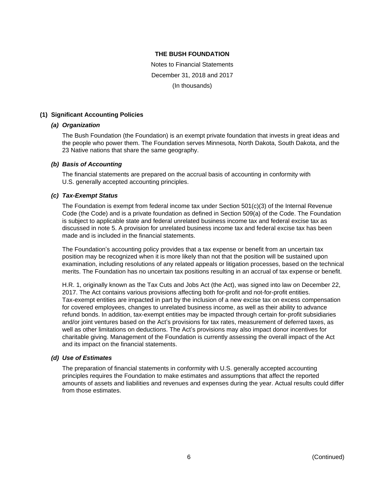Notes to Financial Statements December 31, 2018 and 2017 (In thousands)

### **(1) Significant Accounting Policies**

#### *(a) Organization*

The Bush Foundation (the Foundation) is an exempt private foundation that invests in great ideas and the people who power them. The Foundation serves Minnesota, North Dakota, South Dakota, and the 23 Native nations that share the same geography.

#### *(b) Basis of Accounting*

The financial statements are prepared on the accrual basis of accounting in conformity with U.S. generally accepted accounting principles.

#### *(c) Tax-Exempt Status*

The Foundation is exempt from federal income tax under Section 501(c)(3) of the Internal Revenue Code (the Code) and is a private foundation as defined in Section 509(a) of the Code. The Foundation is subject to applicable state and federal unrelated business income tax and federal excise tax as discussed in note 5. A provision for unrelated business income tax and federal excise tax has been made and is included in the financial statements.

The Foundation's accounting policy provides that a tax expense or benefit from an uncertain tax position may be recognized when it is more likely than not that the position will be sustained upon examination, including resolutions of any related appeals or litigation processes, based on the technical merits. The Foundation has no uncertain tax positions resulting in an accrual of tax expense or benefit.

H.R. 1, originally known as the Tax Cuts and Jobs Act (the Act), was signed into law on December 22, 2017. The Act contains various provisions affecting both for-profit and not-for-profit entities. Tax-exempt entities are impacted in part by the inclusion of a new excise tax on excess compensation for covered employees, changes to unrelated business income, as well as their ability to advance refund bonds. In addition, tax-exempt entities may be impacted through certain for-profit subsidiaries and/or joint ventures based on the Act's provisions for tax rates, measurement of deferred taxes, as well as other limitations on deductions. The Act's provisions may also impact donor incentives for charitable giving. Management of the Foundation is currently assessing the overall impact of the Act and its impact on the financial statements.

#### *(d) Use of Estimates*

The preparation of financial statements in conformity with U.S. generally accepted accounting principles requires the Foundation to make estimates and assumptions that affect the reported amounts of assets and liabilities and revenues and expenses during the year. Actual results could differ from those estimates.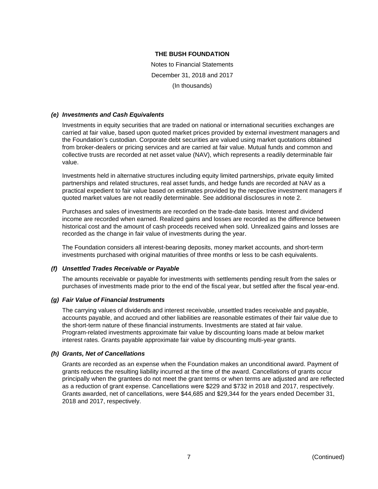Notes to Financial Statements December 31, 2018 and 2017 (In thousands)

#### *(e) Investments and Cash Equivalents*

Investments in equity securities that are traded on national or international securities exchanges are carried at fair value, based upon quoted market prices provided by external investment managers and the Foundation's custodian. Corporate debt securities are valued using market quotations obtained from broker-dealers or pricing services and are carried at fair value. Mutual funds and common and collective trusts are recorded at net asset value (NAV), which represents a readily determinable fair value.

Investments held in alternative structures including equity limited partnerships, private equity limited partnerships and related structures, real asset funds, and hedge funds are recorded at NAV as a practical expedient to fair value based on estimates provided by the respective investment managers if quoted market values are not readily determinable. See additional disclosures in note 2.

Purchases and sales of investments are recorded on the trade-date basis. Interest and dividend income are recorded when earned. Realized gains and losses are recorded as the difference between historical cost and the amount of cash proceeds received when sold. Unrealized gains and losses are recorded as the change in fair value of investments during the year.

The Foundation considers all interest-bearing deposits, money market accounts, and short-term investments purchased with original maturities of three months or less to be cash equivalents.

#### *(f) Unsettled Trades Receivable or Payable*

The amounts receivable or payable for investments with settlements pending result from the sales or purchases of investments made prior to the end of the fiscal year, but settled after the fiscal year-end.

#### *(g) Fair Value of Financial Instruments*

The carrying values of dividends and interest receivable, unsettled trades receivable and payable, accounts payable, and accrued and other liabilities are reasonable estimates of their fair value due to the short-term nature of these financial instruments. Investments are stated at fair value. Program-related investments approximate fair value by discounting loans made at below market interest rates. Grants payable approximate fair value by discounting multi-year grants.

#### *(h) Grants, Net of Cancellations*

Grants are recorded as an expense when the Foundation makes an unconditional award. Payment of grants reduces the resulting liability incurred at the time of the award. Cancellations of grants occur principally when the grantees do not meet the grant terms or when terms are adjusted and are reflected as a reduction of grant expense. Cancellations were \$229 and \$732 in 2018 and 2017, respectively. Grants awarded, net of cancellations, were \$44,685 and \$29,344 for the years ended December 31, 2018 and 2017, respectively.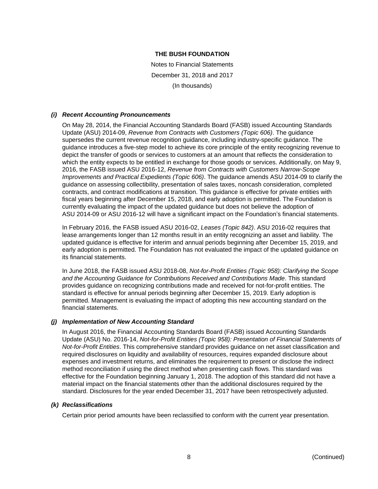Notes to Financial Statements December 31, 2018 and 2017 (In thousands)

### *(i) Recent Accounting Pronouncements*

On May 28, 2014, the Financial Accounting Standards Board (FASB) issued Accounting Standards Update (ASU) 2014-09, *Revenue from Contracts with Customers (Topic 606)*. The guidance supersedes the current revenue recognition guidance, including industry-specific guidance. The guidance introduces a five-step model to achieve its core principle of the entity recognizing revenue to depict the transfer of goods or services to customers at an amount that reflects the consideration to which the entity expects to be entitled in exchange for those goods or services. Additionally, on May 9, 2016, the FASB issued ASU 2016-12, *Revenue from Contracts with Customers Narrow-Scope Improvements and Practical Expedients (Topic 606)*. The guidance amends ASU 2014-09 to clarify the guidance on assessing collectibility, presentation of sales taxes, noncash consideration, completed contracts, and contract modifications at transition. This guidance is effective for private entities with fiscal years beginning after December 15, 2018, and early adoption is permitted. The Foundation is currently evaluating the impact of the updated guidance but does not believe the adoption of ASU 2014-09 or ASU 2016-12 will have a significant impact on the Foundation's financial statements.

In February 2016, the FASB issued ASU 2016-02, *Leases (Topic 842)*. ASU 2016-02 requires that lease arrangements longer than 12 months result in an entity recognizing an asset and liability. The updated guidance is effective for interim and annual periods beginning after December 15, 2019, and early adoption is permitted. The Foundation has not evaluated the impact of the updated guidance on its financial statements.

In June 2018, the FASB issued ASU 2018-08, *Not-for-Profit Entities (Topic 958): Clarifying the Scope and the Accounting Guidance for Contributions Received and Contributions Made*. This standard provides guidance on recognizing contributions made and received for not-for-profit entities. The standard is effective for annual periods beginning after December 15, 2019. Early adoption is permitted. Management is evaluating the impact of adopting this new accounting standard on the financial statements.

#### *(j) Implementation of New Accounting Standard*

In August 2016, the Financial Accounting Standards Board (FASB) issued Accounting Standards Update (ASU) No. 2016-14, *Not-for-Profit Entities (Topic 958): Presentation of Financial Statements of Not-for-Profit Entities*. This comprehensive standard provides guidance on net asset classification and required disclosures on liquidity and availability of resources, requires expanded disclosure about expenses and investment returns, and eliminates the requirement to present or disclose the indirect method reconciliation if using the direct method when presenting cash flows. This standard was effective for the Foundation beginning January 1, 2018. The adoption of this standard did not have a material impact on the financial statements other than the additional disclosures required by the standard. Disclosures for the year ended December 31, 2017 have been retrospectively adjusted.

#### *(k) Reclassifications*

Certain prior period amounts have been reclassified to conform with the current year presentation.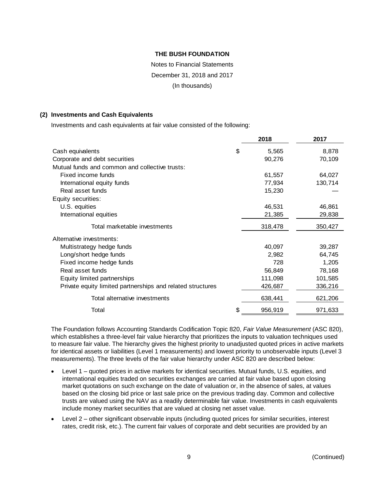# Notes to Financial Statements December 31, 2018 and 2017 (In thousands)

#### **(2) Investments and Cash Equivalents**

Investments and cash equivalents at fair value consisted of the following:

|                                                            | 2018          | 2017    |
|------------------------------------------------------------|---------------|---------|
| Cash equivalents                                           | \$<br>5,565   | 8,878   |
| Corporate and debt securities                              | 90,276        | 70,109  |
| Mutual funds and common and collective trusts:             |               |         |
| Fixed income funds                                         | 61,557        | 64,027  |
| International equity funds                                 | 77,934        | 130,714 |
| Real asset funds                                           | 15,230        |         |
| Equity securities:                                         |               |         |
| U.S. equities                                              | 46,531        | 46,861  |
| International equities                                     | 21,385        | 29,838  |
| Total marketable investments                               | 318,478       | 350,427 |
| Alternative investments:                                   |               |         |
| Multistrategy hedge funds                                  | 40,097        | 39,287  |
| Long/short hedge funds                                     | 2,982         | 64,745  |
| Fixed income hedge funds                                   | 728           | 1,205   |
| Real asset funds                                           | 56,849        | 78,168  |
| Equity limited partnerships                                | 111,098       | 101,585 |
| Private equity limited partnerships and related structures | 426,687       | 336,216 |
| Total alternative investments                              | 638,441       | 621,206 |
| Total                                                      | \$<br>956,919 | 971,633 |

The Foundation follows Accounting Standards Codification Topic 820, *Fair Value Measurement* (ASC 820), which establishes a three-level fair value hierarchy that prioritizes the inputs to valuation techniques used to measure fair value. The hierarchy gives the highest priority to unadjusted quoted prices in active markets for identical assets or liabilities (Level 1 measurements) and lowest priority to unobservable inputs (Level 3 measurements). The three levels of the fair value hierarchy under ASC 820 are described below:

- Level 1 quoted prices in active markets for identical securities. Mutual funds, U.S. equities, and international equities traded on securities exchanges are carried at fair value based upon closing market quotations on such exchange on the date of valuation or, in the absence of sales, at values based on the closing bid price or last sale price on the previous trading day. Common and collective trusts are valued using the NAV as a readily determinable fair value. Investments in cash equivalents include money market securities that are valued at closing net asset value.
- Level 2 other significant observable inputs (including quoted prices for similar securities, interest rates, credit risk, etc.). The current fair values of corporate and debt securities are provided by an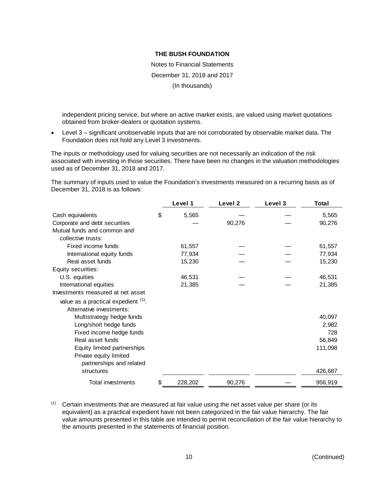Notes to Financial Statements December 31, 2018 and 2017 (In thousands)

independent pricing service, but where an active market exists, are valued using market quotations obtained from broker-dealers or quotation systems.

 Level 3 – significant unobservable inputs that are not corroborated by observable market data. The Foundation does not hold any Level 3 investments.

The inputs or methodology used for valuing securities are not necessarily an indication of the risk associated with investing in those securities. There have been no changes in the valuation methodologies used as of December 31, 2018 and 2017.

The summary of inputs used to value the Foundation's investments measured on a recurring basis as of December 31, 2018 is as follows:

|                                     | Level 1       | Level 2 | Level 3 | Total   |
|-------------------------------------|---------------|---------|---------|---------|
| Cash equivalents                    | \$<br>5,565   |         |         | 5,565   |
| Corporate and debt securities       |               | 90,276  |         | 90,276  |
| Mutual funds and common and         |               |         |         |         |
| collective trusts:                  |               |         |         |         |
| Fixed income funds                  | 61,557        |         |         | 61,557  |
| International equity funds          | 77,934        |         |         | 77,934  |
| Real asset funds                    | 15,230        |         |         | 15,230  |
| Equity securities:                  |               |         |         |         |
| U.S. equities                       | 46,531        |         |         | 46,531  |
| International equities              | 21,385        |         |         | 21,385  |
| Investments measured at net asset   |               |         |         |         |
| value as a practical expedient (1): |               |         |         |         |
| Alternative investments:            |               |         |         |         |
| Multistrategy hedge funds           |               |         |         | 40,097  |
| Long/short hedge funds              |               |         |         | 2,982   |
| Fixed income hedge funds            |               |         |         | 728     |
| Real asset funds                    |               |         |         | 56,849  |
| Equity limited partnerships         |               |         |         | 111,098 |
| Private equity limited              |               |         |         |         |
| partnerships and related            |               |         |         |         |
| structures                          |               |         |         | 426,687 |
| <b>Total investments</b>            | \$<br>228,202 | 90,276  |         | 956,919 |

 $<sup>(1)</sup>$  Certain investments that are measured at fair value using the net asset value per share (or its</sup> equivalent) as a practical expedient have not been categorized in the fair value hierarchy. The fair value amounts presented in this table are intended to permit reconciliation of the fair value hierarchy to the amounts presented in the statements of financial position.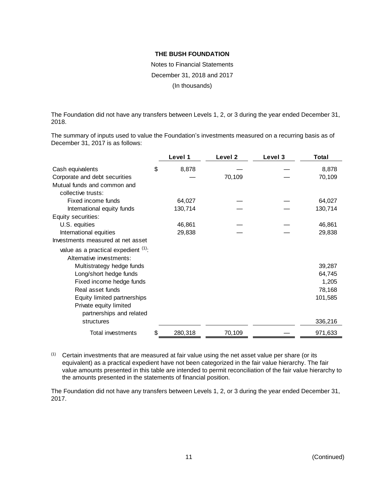Notes to Financial Statements December 31, 2018 and 2017 (In thousands)

The Foundation did not have any transfers between Levels 1, 2, or 3 during the year ended December 31, 2018.

The summary of inputs used to value the Foundation's investments measured on a recurring basis as of December 31, 2017 is as follows:

|                                     | Level 1     | Level <sub>2</sub> | Level 3 | Total   |
|-------------------------------------|-------------|--------------------|---------|---------|
| Cash equivalents                    | \$<br>8,878 |                    |         | 8,878   |
| Corporate and debt securities       |             | 70,109             |         | 70,109  |
| Mutual funds and common and         |             |                    |         |         |
| collective trusts:                  |             |                    |         |         |
| Fixed income funds                  | 64,027      |                    |         | 64,027  |
| International equity funds          | 130,714     |                    |         | 130,714 |
| Equity securities:                  |             |                    |         |         |
| U.S. equities                       | 46,861      |                    |         | 46,861  |
| International equities              | 29,838      |                    |         | 29,838  |
| Investments measured at net asset   |             |                    |         |         |
| value as a practical expedient (1): |             |                    |         |         |
| Alternative investments:            |             |                    |         |         |
| Multistrategy hedge funds           |             |                    |         | 39,287  |
| Long/short hedge funds              |             |                    |         | 64,745  |
| Fixed income hedge funds            |             |                    |         | 1,205   |
| Real asset funds                    |             |                    |         | 78,168  |
| Equity limited partnerships         |             |                    |         | 101,585 |
| Private equity limited              |             |                    |         |         |
| partnerships and related            |             |                    |         |         |
| structures                          |             |                    |         | 336,216 |
| Total investments                   | 280,318     | 70,109             |         | 971,633 |

 $<sup>(1)</sup>$  Certain investments that are measured at fair value using the net asset value per share (or its</sup> equivalent) as a practical expedient have not been categorized in the fair value hierarchy. The fair value amounts presented in this table are intended to permit reconciliation of the fair value hierarchy to the amounts presented in the statements of financial position.

The Foundation did not have any transfers between Levels 1, 2, or 3 during the year ended December 31, 2017.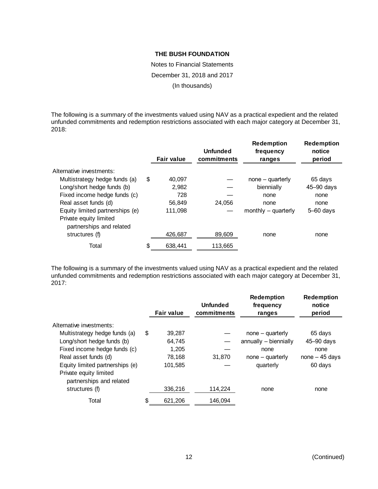Notes to Financial Statements December 31, 2018 and 2017 (In thousands)

The following is a summary of the investments valued using NAV as a practical expedient and the related unfunded commitments and redemption restrictions associated with each major category at December 31, 2018:

|                                                    | <b>Fair value</b> | <b>Unfunded</b><br>commitments | <b>Redemption</b><br>frequency<br>ranges | <b>Redemption</b><br>notice<br>period |
|----------------------------------------------------|-------------------|--------------------------------|------------------------------------------|---------------------------------------|
| Alternative investments:                           |                   |                                |                                          |                                       |
| Multistrategy hedge funds (a)                      | \$<br>40,097      |                                | $none - quarterly$                       | 65 days                               |
| Long/short hedge funds (b)                         | 2,982             |                                | biennially                               | $45 - 90$ days                        |
| Fixed income hedge funds (c)                       | 728               |                                | none                                     | none                                  |
| Real asset funds (d)                               | 56,849            | 24,056                         | none                                     | none                                  |
| Equity limited partnerships (e)                    | 111.098           |                                | monthly $-$ quarterly                    | $5 - 60$ days                         |
| Private equity limited<br>partnerships and related |                   |                                |                                          |                                       |
| structures (f)                                     | 426,687           | 89,609                         | none                                     | none                                  |
| Total                                              | \$<br>638,441     | 113,665                        |                                          |                                       |

The following is a summary of the investments valued using NAV as a practical expedient and the related unfunded commitments and redemption restrictions associated with each major category at December 31, 2017:

|                                                    | <b>Fair value</b> | <b>Unfunded</b><br>commitments | <b>Redemption</b><br>frequency<br>ranges | <b>Redemption</b><br>notice<br>period |
|----------------------------------------------------|-------------------|--------------------------------|------------------------------------------|---------------------------------------|
| Alternative investments:                           |                   |                                |                                          |                                       |
| Multistrategy hedge funds (a)                      | \$<br>39,287      |                                | $none - quarterly$                       | 65 days                               |
| Long/short hedge funds (b)                         | 64,745            |                                | annually - biennially                    | $45 - 90$ days                        |
| Fixed income hedge funds (c)                       | 1.205             |                                | none                                     | none                                  |
| Real asset funds (d)                               | 78.168            | 31.870                         | $none - quarterly$                       | $none - 45 days$                      |
| Equity limited partnerships (e)                    | 101,585           |                                | quarterly                                | 60 days                               |
| Private equity limited<br>partnerships and related |                   |                                |                                          |                                       |
| structures (f)                                     | 336,216           | 114,224                        | none                                     | none                                  |
| Total                                              | \$<br>621.206     | 146.094                        |                                          |                                       |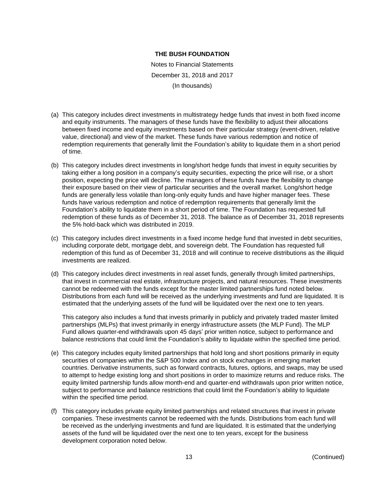Notes to Financial Statements December 31, 2018 and 2017 (In thousands)

- (a) This category includes direct investments in multistrategy hedge funds that invest in both fixed income and equity instruments. The managers of these funds have the flexibility to adjust their allocations between fixed income and equity investments based on their particular strategy (event-driven, relative value, directional) and view of the market. These funds have various redemption and notice of redemption requirements that generally limit the Foundation's ability to liquidate them in a short period of time.
- (b) This category includes direct investments in long/short hedge funds that invest in equity securities by taking either a long position in a company's equity securities, expecting the price will rise, or a short position, expecting the price will decline. The managers of these funds have the flexibility to change their exposure based on their view of particular securities and the overall market. Long/short hedge funds are generally less volatile than long-only equity funds and have higher manager fees. These funds have various redemption and notice of redemption requirements that generally limit the Foundation's ability to liquidate them in a short period of time. The Foundation has requested full redemption of these funds as of December 31, 2018. The balance as of December 31, 2018 represents the 5% hold-back which was distributed in 2019.
- (c) This category includes direct investments in a fixed income hedge fund that invested in debt securities, including corporate debt, mortgage debt, and sovereign debt. The Foundation has requested full redemption of this fund as of December 31, 2018 and will continue to receive distributions as the illiquid investments are realized.
- (d) This category includes direct investments in real asset funds, generally through limited partnerships, that invest in commercial real estate, infrastructure projects, and natural resources. These investments cannot be redeemed with the funds except for the master limited partnerships fund noted below. Distributions from each fund will be received as the underlying investments and fund are liquidated. It is estimated that the underlying assets of the fund will be liquidated over the next one to ten years.

This category also includes a fund that invests primarily in publicly and privately traded master limited partnerships (MLPs) that invest primarily in energy infrastructure assets (the MLP Fund). The MLP Fund allows quarter-end withdrawals upon 45 days' prior written notice, subject to performance and balance restrictions that could limit the Foundation's ability to liquidate within the specified time period.

- (e) This category includes equity limited partnerships that hold long and short positions primarily in equity securities of companies within the S&P 500 Index and on stock exchanges in emerging market countries. Derivative instruments, such as forward contracts, futures, options, and swaps, may be used to attempt to hedge existing long and short positions in order to maximize returns and reduce risks. The equity limited partnership funds allow month-end and quarter-end withdrawals upon prior written notice, subject to performance and balance restrictions that could limit the Foundation's ability to liquidate within the specified time period.
- (f) This category includes private equity limited partnerships and related structures that invest in private companies. These investments cannot be redeemed with the funds. Distributions from each fund will be received as the underlying investments and fund are liquidated. It is estimated that the underlying assets of the fund will be liquidated over the next one to ten years, except for the business development corporation noted below.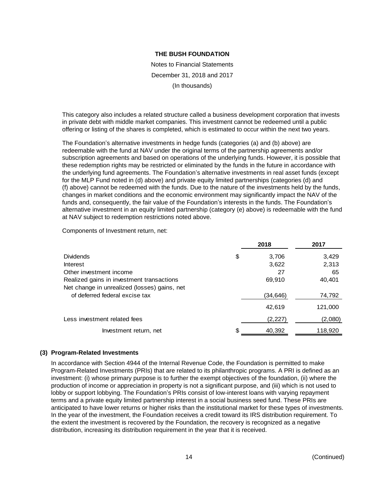Notes to Financial Statements December 31, 2018 and 2017 (In thousands)

This category also includes a related structure called a business development corporation that invests in private debt with middle market companies. This investment cannot be redeemed until a public offering or listing of the shares is completed, which is estimated to occur within the next two years.

The Foundation's alternative investments in hedge funds (categories (a) and (b) above) are redeemable with the fund at NAV under the original terms of the partnership agreements and/or subscription agreements and based on operations of the underlying funds. However, it is possible that these redemption rights may be restricted or eliminated by the funds in the future in accordance with the underlying fund agreements. The Foundation's alternative investments in real asset funds (except for the MLP Fund noted in (d) above) and private equity limited partnerships (categories (d) and (f) above) cannot be redeemed with the funds. Due to the nature of the investments held by the funds, changes in market conditions and the economic environment may significantly impact the NAV of the funds and, consequently, the fair value of the Foundation's interests in the funds. The Foundation's alternative investment in an equity limited partnership (category (e) above) is redeemable with the fund at NAV subject to redemption restrictions noted above.

Components of Investment return, net:

|                                                                                           | 2018         | 2017    |
|-------------------------------------------------------------------------------------------|--------------|---------|
| <b>Dividends</b>                                                                          | \$<br>3,706  | 3,429   |
| <b>Interest</b>                                                                           | 3,622        | 2,313   |
| Other investment income                                                                   | 27           | 65      |
| Realized gains in investment transactions<br>Net change in unrealized (losses) gains, net | 69,910       | 40,401  |
| of deferred federal excise tax                                                            | (34,646)     | 74,792  |
|                                                                                           | 42,619       | 121,000 |
| Less investment related fees                                                              | (2,227)      | (2,080) |
| Investment return, net                                                                    | \$<br>40,392 | 118,920 |

# **(3) Program-Related Investments**

In accordance with Section 4944 of the Internal Revenue Code, the Foundation is permitted to make Program-Related Investments (PRIs) that are related to its philanthropic programs. A PRI is defined as an investment: (i) whose primary purpose is to further the exempt objectives of the foundation, (ii) where the production of income or appreciation in property is not a significant purpose, and (iii) which is not used to lobby or support lobbying. The Foundation's PRIs consist of low-interest loans with varying repayment terms and a private equity limited partnership interest in a social business seed fund. These PRIs are anticipated to have lower returns or higher risks than the institutional market for these types of investments. In the year of the investment, the Foundation receives a credit toward its IRS distribution requirement. To the extent the investment is recovered by the Foundation, the recovery is recognized as a negative distribution, increasing its distribution requirement in the year that it is received.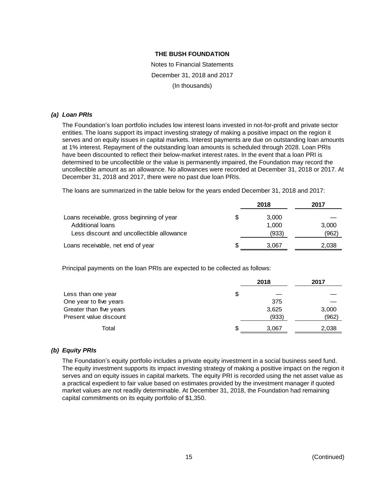Notes to Financial Statements December 31, 2018 and 2017 (In thousands)

#### *(a) Loan PRIs*

The Foundation's loan portfolio includes low interest loans invested in not-for-profit and private sector entities. The loans support its impact investing strategy of making a positive impact on the region it serves and on equity issues in capital markets. Interest payments are due on outstanding loan amounts at 1% interest. Repayment of the outstanding loan amounts is scheduled through 2028. Loan PRIs have been discounted to reflect their below-market interest rates. In the event that a loan PRI is determined to be uncollectible or the value is permanently impaired, the Foundation may record the uncollectible amount as an allowance. No allowances were recorded at December 31, 2018 or 2017. At December 31, 2018 and 2017, there were no past due loan PRIs.

The loans are summarized in the table below for the years ended December 31, 2018 and 2017:

|                                           | 2018  | 2017  |
|-------------------------------------------|-------|-------|
| Loans receivable, gross beginning of year | 3.000 |       |
| Additional loans                          | 1.000 | 3,000 |
| Less discount and uncollectible allowance | (933) | (962) |
| Loans receivable, net end of year         | 3.067 | 2,038 |

Principal payments on the loan PRIs are expected to be collected as follows:

|                         |     | 2018  | 2017  |
|-------------------------|-----|-------|-------|
| Less than one year      | \$  |       |       |
| One year to five years  |     | 375   |       |
| Greater than five years |     | 3,625 | 3,000 |
| Present value discount  |     | (933) | (962) |
| Total                   | \$. | 3.067 | 2,038 |

# *(b) Equity PRIs*

The Foundation's equity portfolio includes a private equity investment in a social business seed fund. The equity investment supports its impact investing strategy of making a positive impact on the region it serves and on equity issues in capital markets. The equity PRI is recorded using the net asset value as a practical expedient to fair value based on estimates provided by the investment manager if quoted market values are not readily determinable. At December 31, 2018, the Foundation had remaining capital commitments on its equity portfolio of \$1,350.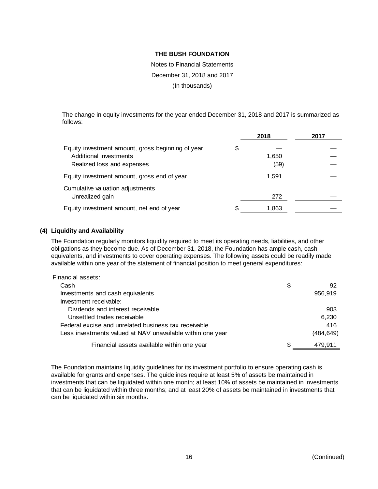Notes to Financial Statements December 31, 2018 and 2017 (In thousands)

The change in equity investments for the year ended December 31, 2018 and 2017 is summarized as follows:

|                                                                                                           |    | 2018          | 2017 |
|-----------------------------------------------------------------------------------------------------------|----|---------------|------|
| Equity investment amount, gross beginning of year<br>Additional investments<br>Realized loss and expenses | \$ | 1,650<br>(59) |      |
| Equity investment amount, gross end of year                                                               |    | 1,591         |      |
| Cumulative valuation adjustments<br>Unrealized gain                                                       |    | 272           |      |
| Equity investment amount, net end of year                                                                 | S  | 1,863         |      |

# **(4) Liquidity and Availability**

The Foundation regularly monitors liquidity required to meet its operating needs, liabilities, and other obligations as they become due. As of December 31, 2018, the Foundation has ample cash, cash equivalents, and investments to cover operating expenses. The following assets could be readily made available within one year of the statement of financial position to meet general expenditures:

| Financial assets:                                          |           |
|------------------------------------------------------------|-----------|
| Cash                                                       | \$<br>92  |
| Investments and cash equivalents                           | 956,919   |
| Investment receivable:                                     |           |
| Dividends and interest receivable                          | 903       |
| Unsettled trades receivable                                | 6,230     |
| Federal excise and unrelated business tax receivable       | 416       |
| Less investments valued at NAV unavailable within one year | (484,649) |
| Financial assets available within one year                 | 479.911   |

The Foundation maintains liquidity guidelines for its investment portfolio to ensure operating cash is available for grants and expenses. The guidelines require at least 5% of assets be maintained in investments that can be liquidated within one month; at least 10% of assets be maintained in investments that can be liquidated within three months; and at least 20% of assets be maintained in investments that can be liquidated within six months.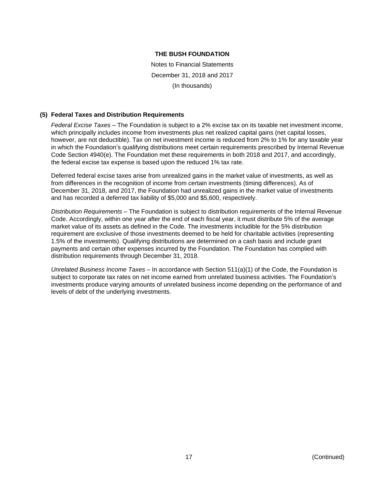Notes to Financial Statements December 31, 2018 and 2017 (In thousands)

#### **(5) Federal Taxes and Distribution Requirements**

*Federal Excise Taxes* – The Foundation is subject to a 2% excise tax on its taxable net investment income, which principally includes income from investments plus net realized capital gains (net capital losses, however, are not deductible). Tax on net investment income is reduced from 2% to 1% for any taxable year in which the Foundation's qualifying distributions meet certain requirements prescribed by Internal Revenue Code Section 4940(e). The Foundation met these requirements in both 2018 and 2017, and accordingly, the federal excise tax expense is based upon the reduced 1% tax rate.

Deferred federal excise taxes arise from unrealized gains in the market value of investments, as well as from differences in the recognition of income from certain investments (timing differences). As of December 31, 2018, and 2017, the Foundation had unrealized gains in the market value of investments and has recorded a deferred tax liability of \$5,000 and \$5,600, respectively.

*Distribution Requirements* – The Foundation is subject to distribution requirements of the Internal Revenue Code. Accordingly, within one year after the end of each fiscal year, it must distribute 5% of the average market value of its assets as defined in the Code. The investments includible for the 5% distribution requirement are exclusive of those investments deemed to be held for charitable activities (representing 1.5% of the investments). Qualifying distributions are determined on a cash basis and include grant payments and certain other expenses incurred by the Foundation. The Foundation has complied with distribution requirements through December 31, 2018.

*Unrelated Business Income Taxes* – In accordance with Section 511(a)(1) of the Code, the Foundation is subject to corporate tax rates on net income earned from unrelated business activities. The Foundation's investments produce varying amounts of unrelated business income depending on the performance of and levels of debt of the underlying investments.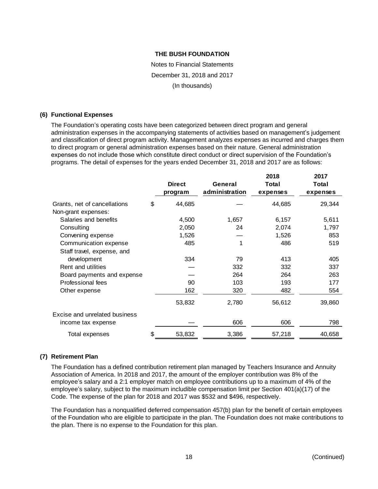Notes to Financial Statements December 31, 2018 and 2017 (In thousands)

#### **(6) Functional Expenses**

The Foundation's operating costs have been categorized between direct program and general administration expenses in the accompanying statements of activities based on management's judgement and classification of direct program activity. Management analyzes expenses as incurred and charges them to direct program or general administration expenses based on their nature. General administration expenses do not include those which constitute direct conduct or direct supervision of the Foundation's programs. The detail of expenses for the years ended December 31, 2018 and 2017 are as follows:

|                               |     | <b>Direct</b><br>program | General<br>administration | 2018<br>Total<br>expenses | 2017<br><b>Total</b><br>expenses |
|-------------------------------|-----|--------------------------|---------------------------|---------------------------|----------------------------------|
| Grants, net of cancellations  | \$  | 44,685                   |                           | 44,685                    | 29,344                           |
| Non-grant expenses:           |     |                          |                           |                           |                                  |
| Salaries and benefits         |     | 4,500                    | 1,657                     | 6,157                     | 5,611                            |
| Consulting                    |     | 2,050                    | 24                        | 2,074                     | 1,797                            |
| Convening expense             |     | 1,526                    |                           | 1,526                     | 853                              |
| Communication expense         |     | 485                      | 1                         | 486                       | 519                              |
| Staff travel, expense, and    |     |                          |                           |                           |                                  |
| development                   |     | 334                      | 79                        | 413                       | 405                              |
| Rent and utilities            |     |                          | 332                       | 332                       | 337                              |
| Board payments and expense    |     |                          | 264                       | 264                       | 263                              |
| Professional fees             |     | 90                       | 103                       | 193                       | 177                              |
| Other expense                 |     | 162                      | 320                       | 482                       | 554                              |
|                               |     | 53,832                   | 2,780                     | 56,612                    | 39,860                           |
| Excise and unrelated business |     |                          |                           |                           |                                  |
| income tax expense            |     |                          | 606                       | 606                       | 798                              |
| Total expenses                | \$. | 53,832                   | 3,386                     | 57,218                    | 40,658                           |

# **(7) Retirement Plan**

The Foundation has a defined contribution retirement plan managed by Teachers Insurance and Annuity Association of America. In 2018 and 2017, the amount of the employer contribution was 8% of the employee's salary and a 2:1 employer match on employee contributions up to a maximum of 4% of the employee's salary, subject to the maximum includible compensation limit per Section 401(a)(17) of the Code. The expense of the plan for 2018 and 2017 was \$532 and \$496, respectively.

The Foundation has a nonqualified deferred compensation 457(b) plan for the benefit of certain employees of the Foundation who are eligible to participate in the plan. The Foundation does not make contributions to the plan. There is no expense to the Foundation for this plan.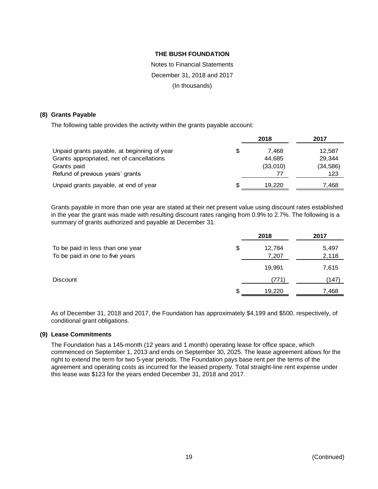# Notes to Financial Statements December 31, 2018 and 2017

(In thousands)

#### **(8) Grants Payable**

The following table provides the activity within the grants payable account:

|                                             |   | 2018     | 2017      |
|---------------------------------------------|---|----------|-----------|
| Unpaid grants payable, at beginning of year | S | 7.468    | 12,587    |
| Grants appropriated, net of cancellations   |   | 44.685   | 29.344    |
| Grants paid                                 |   | (33,010) | (34, 586) |
| Refund of previous years' grants            |   | 77       | 123       |
| Unpaid grants payable, at end of year       |   | 19.220   | 7,468     |

Grants payable in more than one year are stated at their net present value using discount rates established in the year the grant was made with resulting discount rates ranging from 0.9% to 2.7%. The following is a summary of grants authorized and payable at December 31:

|                                  |     | 2018               | 2017  |
|----------------------------------|-----|--------------------|-------|
| To be paid in less than one year | \$  | 12,784             | 5,497 |
| To be paid in one to five years  |     | 7,207              | 2,118 |
|                                  |     | 19,991             | 7,615 |
| <b>Discount</b>                  |     | $\left(771\right)$ | (147) |
|                                  | \$. | 19,220             | 7,468 |

As of December 31, 2018 and 2017, the Foundation has approximately \$4,199 and \$500, respectively, of conditional grant obligations.

# **(9) Lease Commitments**

The Foundation has a 145-month (12 years and 1 month) operating lease for office space, which commenced on September 1, 2013 and ends on September 30, 2025. The lease agreement allows for the right to extend the term for two 5-year periods. The Foundation pays base rent per the terms of the agreement and operating costs as incurred for the leased property. Total straight-line rent expense under this lease was \$123 for the years ended December 31, 2018 and 2017.